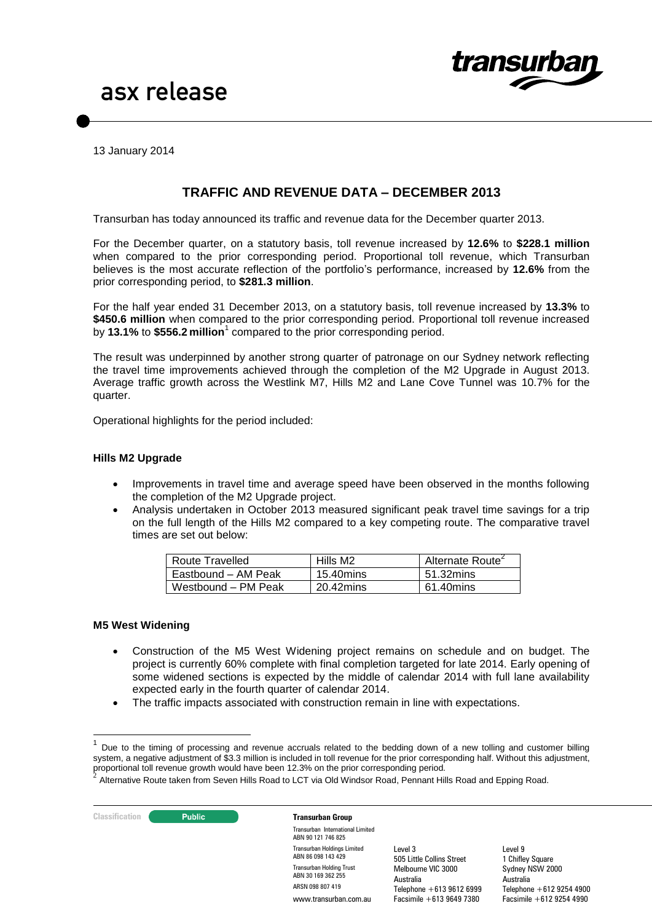

13 January 2014

# **TRAFFIC AND REVENUE DATA – DECEMBER 2013**

Transurban has today announced its traffic and revenue data for the December quarter 2013.

For the December quarter, on a statutory basis, toll revenue increased by **12.6%** to **\$228.1 million**  when compared to the prior corresponding period. Proportional toll revenue, which Transurban believes is the most accurate reflection of the portfolio's performance, increased by **12.6%** from the prior corresponding period, to **\$281.3 million**.

For the half year ended 31 December 2013, on a statutory basis, toll revenue increased by **13.3%** to **\$450.6 million** when compared to the prior corresponding period. Proportional toll revenue increased by 13.1% to \$556.2 million<sup>1</sup> compared to the prior corresponding period.

The result was underpinned by another strong quarter of patronage on our Sydney network reflecting the travel time improvements achieved through the completion of the M2 Upgrade in August 2013. Average traffic growth across the Westlink M7, Hills M2 and Lane Cove Tunnel was 10.7% for the quarter.

Operational highlights for the period included:

#### **Hills M2 Upgrade**

- Improvements in travel time and average speed have been observed in the months following the completion of the M2 Upgrade project.
- Analysis undertaken in October 2013 measured significant peak travel time savings for a trip on the full length of the Hills M2 compared to a key competing route. The comparative travel times are set out below:

| <b>Route Travelled</b> | Hills M <sub>2</sub> | Alternate Route <sup>2</sup> |
|------------------------|----------------------|------------------------------|
| Eastbound - AM Peak    | 15.40mins            | 51.32mins                    |
| Westbound - PM Peak    | 20.42mins            | 61.40mins                    |

#### **M5 West Widening**

1

- Construction of the M5 West Widening project remains on schedule and on budget. The project is currently 60% complete with final completion targeted for late 2014. Early opening of some widened sections is expected by the middle of calendar 2014 with full lane availability expected early in the fourth quarter of calendar 2014.
- The traffic impacts associated with construction remain in line with expectations.

Alternative Route taken from Seven Hills Road to LCT via Old Windsor Road, Pennant Hills Road and Epping Road.



<sup>1</sup> Due to the timing of processing and revenue accruals related to the bedding down of a new tolling and customer billing system, a negative adjustment of \$3.3 million is included in toll revenue for the prior corresponding half. Without this adjustment, proportional toll revenue growth would have been 12.3% on the prior corresponding period.<br>2. Alternative Boute taken from Soven Hille Beed to LCT via Old Windoor Beed, Bennert Hi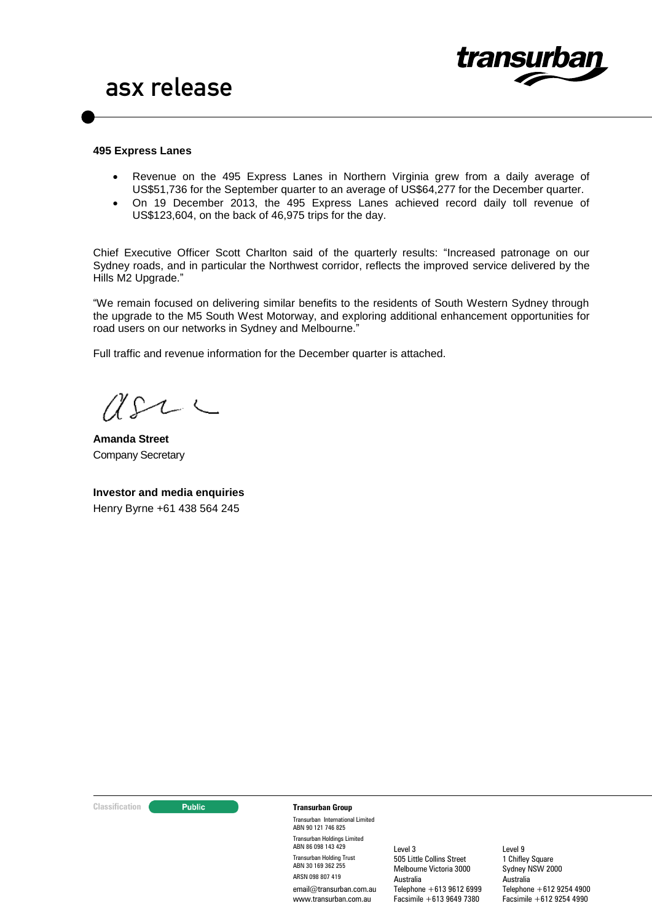

#### **495 Express Lanes**

- Revenue on the 495 Express Lanes in Northern Virginia grew from a daily average of US\$51,736 for the September quarter to an average of US\$64,277 for the December quarter.
- On 19 December 2013, the 495 Express Lanes achieved record daily toll revenue of US\$123,604, on the back of 46,975 trips for the day.

Chief Executive Officer Scott Charlton said of the quarterly results: "Increased patronage on our Sydney roads, and in particular the Northwest corridor, reflects the improved service delivered by the Hills M2 Upgrade."

"We remain focused on delivering similar benefits to the residents of South Western Sydney through the upgrade to the M5 South West Motorway, and exploring additional enhancement opportunities for road users on our networks in Sydney and Melbourne."

Full traffic and revenue information for the December quarter is attached.

 $\sim$   $\sim$ 

**Amanda Street** Company Secretary

**Investor and media enquiries** Henry Byrne +61 438 564 245

#### **Classification Constitution Transurban Group**

Transurban International Limited ABN 90 121 746 825 Transurban Holdings Limited ABN 86 098 143 429 Transurban Holding Trust ABN 30 169 362 255 ARSN 098 807 419 email@transurban.com.au www.transurhan.com.au

Level 3 505 Little Collins Street Melbourne Victoria 3000 Australia Telephone +613 9612 6999 Facsimile +613 9649 7380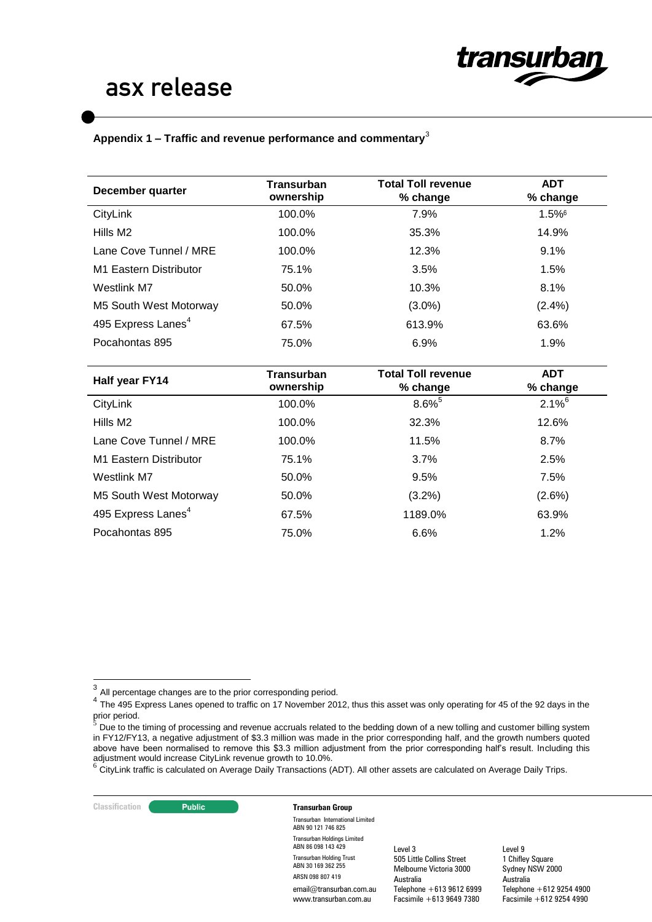<span id="page-2-0"></span>

### **Appendix 1 – Traffic and revenue performance and commentary**<sup>3</sup>

| December quarter               | <b>Transurban</b><br>ownership | <b>Total Toll revenue</b><br>% change | <b>ADT</b><br>% change |
|--------------------------------|--------------------------------|---------------------------------------|------------------------|
| CityLink                       | 100.0%                         | 7.9%                                  | $1.5\%$ <sup>6</sup>   |
| Hills M <sub>2</sub>           | 100.0%                         | 35.3%                                 | 14.9%                  |
| Lane Cove Tunnel / MRE         | 100.0%                         | 12.3%                                 | 9.1%                   |
| M1 Eastern Distributor         | 75.1%                          | 3.5%                                  | 1.5%                   |
| Westlink M7                    | 50.0%                          | 10.3%                                 | 8.1%                   |
| M5 South West Motorway         | 50.0%                          | $(3.0\%)$                             | (2.4%)                 |
| 495 Express Lanes <sup>4</sup> | 67.5%                          | 613.9%                                | 63.6%                  |
| Pocahontas 895                 | 75.0%                          | 6.9%                                  | 1.9%                   |
| Half year FY14                 | <b>Transurban</b><br>ownership | <b>Total Toll revenue</b><br>% change | <b>ADT</b><br>% change |
| CityLink                       | 100.0%                         | $8.6\%$ <sup>5</sup>                  | $2.1\%$ <sup>6</sup>   |
| Hills M <sub>2</sub>           | 100.0%                         | 32.3%                                 | 12.6%                  |
| Lane Cove Tunnel / MRE         | 100.0%                         | 11.5%                                 | 8.7%                   |
| M1 Eastern Distributor         | 75.1%                          | 3.7%                                  | 2.5%                   |
| <b>Westlink M7</b>             | 50.0%                          | 9.5%                                  | 7.5%                   |
| M5 South West Motorway         | 50.0%                          | (3.2%)                                | (2.6%)                 |
| 495 Express Lanes <sup>4</sup> | 67.5%                          | 1189.0%                               | 63.9%                  |
| Pocahontas 895                 | 75.0%                          | 6.6%                                  | 1.2%                   |

**Classification Constitution Transurban Group** Transurban International Limited ABN 90 121 746 825

> Transurban Holdings Limited ABN 86 098 143 429 Transurban Holding Trust ABN 30 169 362 255 ARSN 098 807 419

email@transurban.com.au www.transurban.com.au

Level 3 505 Little Collins Street Melbourne Victoria 3000 Australia Telephone +613 9612 6999 Facsimile +613 9649 7380

<sup>————————————————————&</sup>lt;br><sup>3</sup> All percentage changes are to the prior corresponding period.

 $^4$  The 495 Express Lanes opened to traffic on 17 November 2012, thus this asset was only operating for 45 of the 92 days in the prior period.<br><sup>5</sup> Due te the

Due to the timing of processing and revenue accruals related to the bedding down of a new tolling and customer billing system in FY12/FY13, a negative adjustment of \$3.3 million was made in the prior corresponding half, and the growth numbers quoted above have been normalised to remove this \$3.3 million adjustment from the prior corresponding half's result. Including this adjustment would increase CityLink revenue growth to 10.0%.

<sup>&</sup>lt;sup>6</sup> CityLink traffic is calculated on Average Daily Transactions (ADT). All other assets are calculated on Average Daily Trips.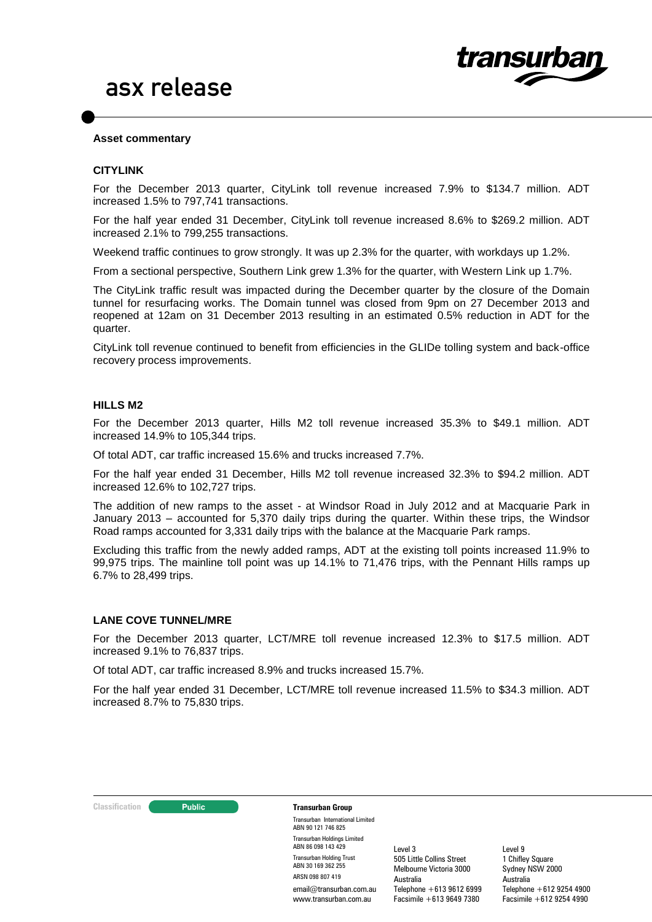

#### **Asset commentary**

#### **CITYLINK**

For the December 2013 quarter, CityLink toll revenue increased 7.9% to \$134.7 million. ADT increased 1.5% to 797,741 transactions.

For the half year ended 31 December, CityLink toll revenue increased 8.6% to \$269.2 million. ADT increased 2.1% to 799,255 transactions.

Weekend traffic continues to grow strongly. It was up 2.3% for the quarter, with workdays up 1.2%.

From a sectional perspective, Southern Link grew 1.3% for the quarter, with Western Link up 1.7%.

The CityLink traffic result was impacted during the December quarter by the closure of the Domain tunnel for resurfacing works. The Domain tunnel was closed from 9pm on 27 December 2013 and reopened at 12am on 31 December 2013 resulting in an estimated 0.5% reduction in ADT for the quarter.

CityLink toll revenue continued to benefit from efficiencies in the GLIDe tolling system and back-office recovery process improvements.

#### **HILLS M2**

For the December 2013 quarter, Hills M2 toll revenue increased 35.3% to \$49.1 million. ADT increased 14.9% to 105,344 trips.

Of total ADT, car traffic increased 15.6% and trucks increased 7.7%.

For the half year ended 31 December, Hills M2 toll revenue increased 32.3% to \$94.2 million. ADT increased 12.6% to 102,727 trips.

The addition of new ramps to the asset - at Windsor Road in July 2012 and at Macquarie Park in January 2013 – accounted for 5,370 daily trips during the quarter. Within these trips, the Windsor Road ramps accounted for 3,331 daily trips with the balance at the Macquarie Park ramps.

Excluding this traffic from the newly added ramps, ADT at the existing toll points increased 11.9% to 99,975 trips. The mainline toll point was up 14.1% to 71,476 trips, with the Pennant Hills ramps up 6.7% to 28,499 trips.

#### **LANE COVE TUNNEL/MRE**

For the December 2013 quarter, LCT/MRE toll revenue increased 12.3% to \$17.5 million. ADT increased 9.1% to 76,837 trips.

Of total ADT, car traffic increased 8.9% and trucks increased 15.7%.

For the half year ended 31 December, LCT/MRE toll revenue increased 11.5% to \$34.3 million. ADT increased 8.7% to 75,830 trips.



#### **Classification Constitution Transurban Group**

Transurban International Limited ABN 90 121 746 825 Transurban Holdings Limited ABN 86 098 143 429 Transurban Holding Trust ABN 30 169 362 255 ARSN 098 807 419 email@transurban.com.au www.transurban.com.au

Level 3 505 Little Collins Street Melbourne Victoria 3000 Australia Telephone +613 9612 6999 Facsimile +613 9649 7380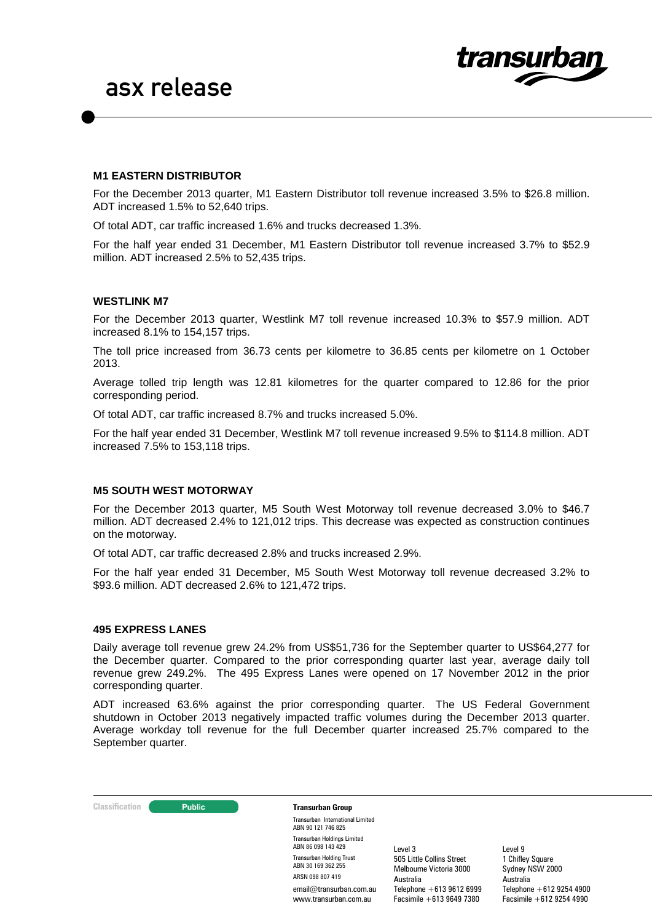

### **M1 EASTERN DISTRIBUTOR**

For the December 2013 quarter, M1 Eastern Distributor toll revenue increased 3.5% to \$26.8 million. ADT increased 1.5% to 52,640 trips.

Of total ADT, car traffic increased 1.6% and trucks decreased 1.3%.

For the half year ended 31 December, M1 Eastern Distributor toll revenue increased 3.7% to \$52.9 million. ADT increased 2.5% to 52,435 trips.

#### **WESTLINK M7**

For the December 2013 quarter, Westlink M7 toll revenue increased 10.3% to \$57.9 million. ADT increased 8.1% to 154,157 trips.

The toll price increased from 36.73 cents per kilometre to 36.85 cents per kilometre on 1 October 2013.

Average tolled trip length was 12.81 kilometres for the quarter compared to 12.86 for the prior corresponding period.

Of total ADT, car traffic increased 8.7% and trucks increased 5.0%.

For the half year ended 31 December, Westlink M7 toll revenue increased 9.5% to \$114.8 million. ADT increased 7.5% to 153,118 trips.

#### **M5 SOUTH WEST MOTORWAY**

For the December 2013 quarter, M5 South West Motorway toll revenue decreased 3.0% to \$46.7 million. ADT decreased 2.4% to 121,012 trips. This decrease was expected as construction continues on the motorway.

Of total ADT, car traffic decreased 2.8% and trucks increased 2.9%.

For the half year ended 31 December, M5 South West Motorway toll revenue decreased 3.2% to \$93.6 million. ADT decreased 2.6% to 121,472 trips.

#### **495 EXPRESS LANES**

Daily average toll revenue grew 24.2% from US\$51,736 for the September quarter to US\$64,277 for the December quarter. Compared to the prior corresponding quarter last year, average daily toll revenue grew 249.2%. The 495 Express Lanes were opened on 17 November 2012 in the prior corresponding quarter.

ADT increased 63.6% against the prior corresponding quarter. The US Federal Government shutdown in October 2013 negatively impacted traffic volumes during the December 2013 quarter. Average workday toll revenue for the full December quarter increased 25.7% compared to the September quarter.

#### **Classification Constitution Transurban Group**

Transurban International Limited ABN 90 121 746 825 Transurban Holdings Limited ABN 86 098 143 429 Transurban Holding Trust ABN 30 169 362 255 ARSN 098 807 419 email@transurban.com.au www.transurhan.com.au

Level 3 505 Little Collins Street Melbourne Victoria 3000 Australia Telephone +613 9612 6999 Facsimile +613 9649 7380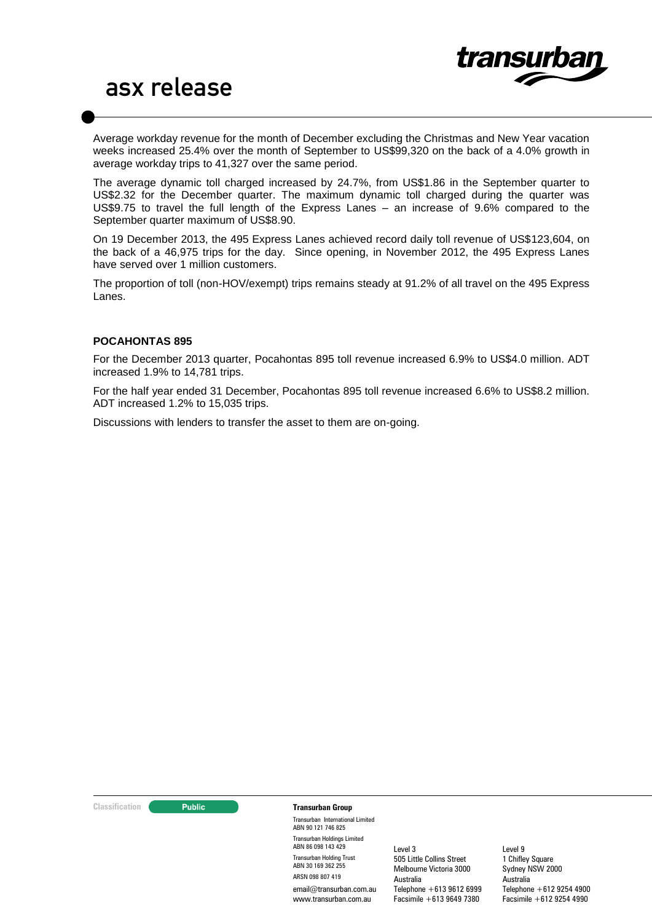

Average workday revenue for the month of December excluding the Christmas and New Year vacation weeks increased 25.4% over the month of September to US\$99,320 on the back of a 4.0% growth in average workday trips to 41,327 over the same period.

The average dynamic toll charged increased by 24.7%, from US\$1.86 in the September quarter to US\$2.32 for the December quarter. The maximum dynamic toll charged during the quarter was US\$9.75 to travel the full length of the Express Lanes – an increase of 9.6% compared to the September quarter maximum of US\$8.90.

On 19 December 2013, the 495 Express Lanes achieved record daily toll revenue of US\$123,604, on the back of a 46,975 trips for the day. Since opening, in November 2012, the 495 Express Lanes have served over 1 million customers.

The proportion of toll (non-HOV/exempt) trips remains steady at 91.2% of all travel on the 495 Express Lanes.

#### **POCAHONTAS 895**

For the December 2013 quarter, Pocahontas 895 toll revenue increased 6.9% to US\$4.0 million. ADT increased 1.9% to 14,781 trips.

For the half year ended 31 December, Pocahontas 895 toll revenue increased 6.6% to US\$8.2 million. ADT increased 1.2% to 15,035 trips.

Discussions with lenders to transfer the asset to them are on-going.

#### **Classification Constitution Transurban Group**

Transurban International Limited ABN 90 121 746 825 Transurban Holdings Limited ABN 86 098 143 429 Transurban Holding Trust ABN 30 169 362 255 ARSN 098 807 419 email@transurban.com.au www.transurban.com.au

Level 3 505 Little Collins Street Melbourne Victoria 3000 Australia Telephone +613 9612 6999 Facsimile +613 9649 7380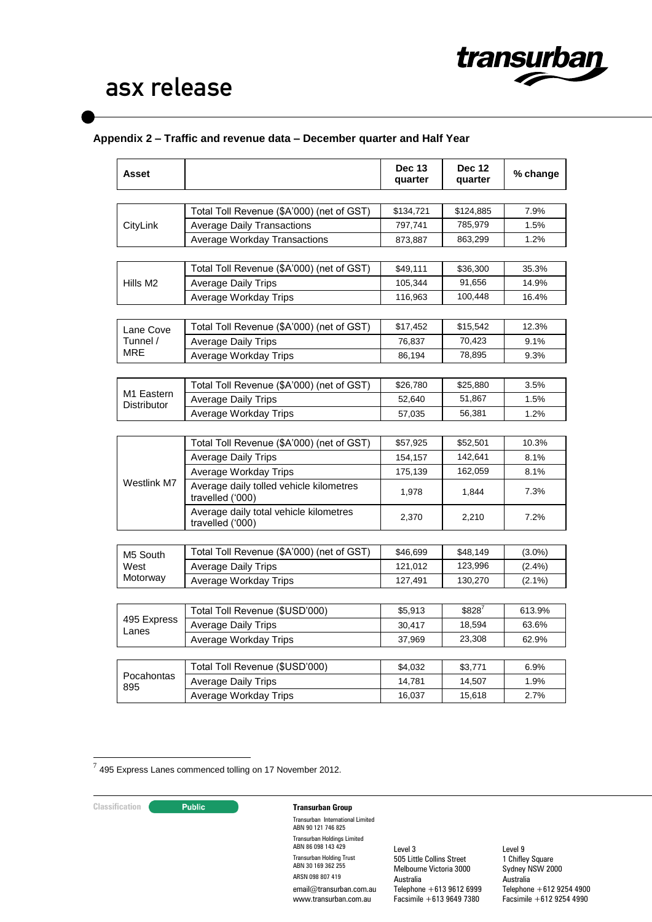

# **Appendix 2 – Traffic and revenue data – December quarter and Half Year**

| Asset                     |                                                             | <b>Dec 13</b><br>quarter | <b>Dec 12</b><br>quarter | % change  |
|---------------------------|-------------------------------------------------------------|--------------------------|--------------------------|-----------|
|                           |                                                             |                          |                          |           |
|                           | Total Toll Revenue (\$A'000) (net of GST)                   | \$134,721                | \$124,885                | 7.9%      |
| CityLink                  | <b>Average Daily Transactions</b>                           | 797,741                  | 785,979                  | 1.5%      |
|                           | Average Workday Transactions                                | 873,887                  | 863,299                  | 1.2%      |
|                           | Total Toll Revenue (\$A'000) (net of GST)                   | \$49,111                 | \$36,300                 | 35.3%     |
| Hills M <sub>2</sub>      | <b>Average Daily Trips</b>                                  | 105,344                  | 91,656                   | 14.9%     |
|                           | Average Workday Trips                                       | 116,963                  | 100,448                  | 16.4%     |
|                           |                                                             |                          |                          |           |
| Lane Cove                 | Total Toll Revenue (\$A'000) (net of GST)                   | \$17,452                 | \$15,542                 | 12.3%     |
| Tunnel /                  | <b>Average Daily Trips</b>                                  | 76,837                   | 70,423                   | 9.1%      |
| MRE                       | Average Workday Trips                                       | 86,194                   | 78,895                   | 9.3%      |
|                           |                                                             |                          |                          |           |
|                           | Total Toll Revenue (\$A'000) (net of GST)                   | \$26,780                 | \$25,880                 | 3.5%      |
| M1 Eastern<br>Distributor | <b>Average Daily Trips</b>                                  | 52,640                   | 51,867                   | 1.5%      |
|                           | Average Workday Trips                                       | 57,035                   | 56,381                   | 1.2%      |
|                           |                                                             |                          |                          |           |
|                           | Total Toll Revenue (\$A'000) (net of GST)                   | \$57,925                 | \$52,501                 | 10.3%     |
|                           | <b>Average Daily Trips</b>                                  | 154,157                  | 142,641                  | 8.1%      |
| Westlink M7               | Average Workday Trips                                       | 175,139                  | 162,059                  | 8.1%      |
|                           | Average daily tolled vehicle kilometres<br>travelled ('000) | 1,978                    | 1,844                    | 7.3%      |
|                           | Average daily total vehicle kilometres<br>travelled ('000)  | 2,370                    | 2,210                    | 7.2%      |
|                           |                                                             |                          |                          |           |
| M5 South                  | Total Toll Revenue (\$A'000) (net of GST)                   | \$46,699                 | \$48,149                 | $(3.0\%)$ |
| West                      | <b>Average Daily Trips</b>                                  | 121,012                  | 123,996                  | $(2.4\%)$ |
| Motorway                  | Average Workday Trips                                       | 127,491                  | 130,270                  | $(2.1\%)$ |
|                           |                                                             |                          |                          |           |
|                           | Total Toll Revenue (\$USD'000)                              | \$5,913                  | \$828'                   | 613.9%    |
| 495 Express<br>Lanes      | <b>Average Daily Trips</b>                                  | 30,417                   | 18,594                   | 63.6%     |
|                           | Average Workday Trips                                       | 37,969                   | 23,308                   | 62.9%     |
|                           |                                                             |                          |                          |           |
| Pocahontas                | Total Toll Revenue (\$USD'000)                              | \$4,032                  | \$3,771                  | 6.9%      |
| 895                       | <b>Average Daily Trips</b>                                  | 14,781                   | 14,507                   | 1.9%      |
|                           | Average Workday Trips                                       | 16,037                   | 15,618                   | 2.7%      |

7 495 Express Lanes commenced tolling on 17 November 2012.

# **Classification Transurban Group**

Transurban International Limited ABN 90 121 746 825 Transurban Holdings Limited ABN 86 098 143 429 Transurban Holding Trust ABN 30 169 362 255 ARSN 098 807 419 email@transurban.com.au www.transurban.com.au

Level 3 505 Little Collins Street Melbourne Victoria 3000 Australia Telephone +613 9612 6999 Facsimile +613 9649 7380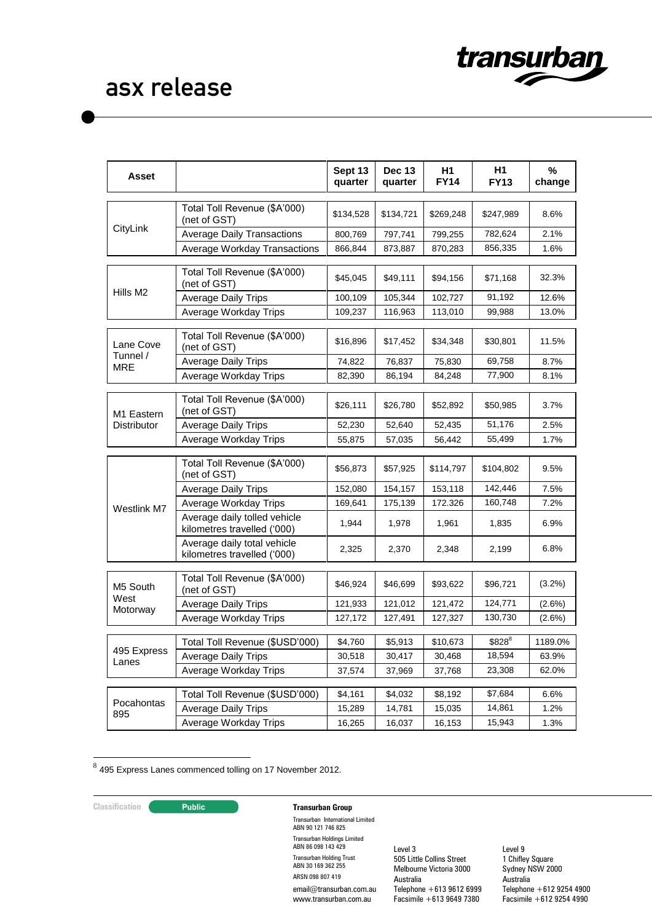

| Asset                |                                                             | Sept 13<br>quarter | <b>Dec 13</b><br>quarter | H1<br><b>FY14</b> | H <sub>1</sub><br><b>FY13</b> | %<br>change |
|----------------------|-------------------------------------------------------------|--------------------|--------------------------|-------------------|-------------------------------|-------------|
|                      | Total Toll Revenue (\$A'000)<br>(net of GST)                | \$134,528          | \$134,721                | \$269,248         | \$247,989                     | 8.6%        |
| CityLink             | <b>Average Daily Transactions</b>                           | 800,769            | 797,741                  | 799,255           | 782,624                       | 2.1%        |
|                      | <b>Average Workday Transactions</b>                         | 866,844            | 873,887                  | 870,283           | 856,335                       | 1.6%        |
|                      | Total Toll Revenue (\$A'000)<br>(net of GST)                | \$45,045           | \$49,111                 | \$94,156          | \$71,168                      | 32.3%       |
| Hills M2             | <b>Average Daily Trips</b>                                  | 100,109            | 105,344                  | 102,727           | 91,192                        | 12.6%       |
|                      | Average Workday Trips                                       | 109,237            | 116,963                  | 113,010           | 99,988                        | 13.0%       |
| Lane Cove            | Total Toll Revenue (\$A'000)<br>(net of GST)                | \$16,896           | \$17,452                 | \$34,348          | \$30,801                      | 11.5%       |
| Tunnel /<br>MRE      | <b>Average Daily Trips</b>                                  | 74,822             | 76,837                   | 75,830            | 69,758                        | 8.7%        |
|                      | Average Workday Trips                                       | 82,390             | 86,194                   | 84,248            | 77,900                        | 8.1%        |
| M1 Eastern           | Total Toll Revenue (\$A'000)<br>(net of GST)                | \$26,111           | \$26,780                 | \$52,892          | \$50,985                      | 3.7%        |
| Distributor          | <b>Average Daily Trips</b>                                  | 52,230             | 52,640                   | 52,435            | 51,176                        | 2.5%        |
|                      | Average Workday Trips                                       | 55,875             | 57,035                   | 56,442            | 55,499                        | 1.7%        |
|                      | Total Toll Revenue (\$A'000)<br>(net of GST)                | \$56,873           | \$57,925                 | \$114,797         | \$104,802                     | 9.5%        |
|                      | <b>Average Daily Trips</b>                                  | 152,080            | 154,157                  | 153,118           | 142,446                       | 7.5%        |
| Westlink M7          | Average Workday Trips                                       | 169,641            | 175,139                  | 172.326           | 160,748                       | 7.2%        |
|                      | Average daily tolled vehicle<br>kilometres travelled ('000) | 1,944              | 1,978                    | 1,961             | 1,835                         | 6.9%        |
|                      | Average daily total vehicle<br>kilometres travelled ('000)  | 2,325              | 2,370                    | 2,348             | 2,199                         | 6.8%        |
| M5 South             | Total Toll Revenue (\$A'000)<br>(net of GST)                | \$46,924           | \$46,699                 | \$93,622          | \$96,721                      | $(3.2\%)$   |
| West<br>Motorway     | <b>Average Daily Trips</b>                                  | 121,933            | 121,012                  | 121,472           | 124,771                       | $(2.6\%)$   |
|                      | Average Workday Trips                                       | 127,172            | 127,491                  | 127,327           | 130,730                       | $(2.6\%)$   |
|                      | Total Toll Revenue (\$USD'000)                              | \$4,760            | \$5,913                  | \$10,673          | \$828 <sup>8</sup>            | 1189.0%     |
| 495 Express<br>Lanes | <b>Average Daily Trips</b>                                  | 30,518             | 30,417                   | 30,468            | 18,594                        | 63.9%       |
|                      | Average Workday Trips                                       | 37,574             | 37,969                   | 37,768            | 23,308                        | 62.0%       |
|                      | Total Toll Revenue (\$USD'000)                              | \$4,161            | \$4,032                  | \$8,192           | \$7,684                       | 6.6%        |
| Pocahontas           | <b>Average Daily Trips</b>                                  | 15,289             | 14,781                   | 15,035            | 14,861                        | 1.2%        |
| 895                  | Average Workday Trips                                       | 16,265             | 16,037                   | 16,153            | 15,943                        | 1.3%        |

8 495 Express Lanes commenced tolling on 17 November 2012.

# **Classification Transurban Group**

Transurban International Limited ABN 90 121 746 825 Transurban Holdings Limited ABN 86 098 143 429 Transurban Holding Trust ABN 30 169 362 255 ARSN 098 807 419 email@transurban.com.au www.transurban.com.au

Level 3 505 Little Collins Street Melbourne Victoria 3000 Australia Telephone +613 9612 6999 Facsimile +613 9649 7380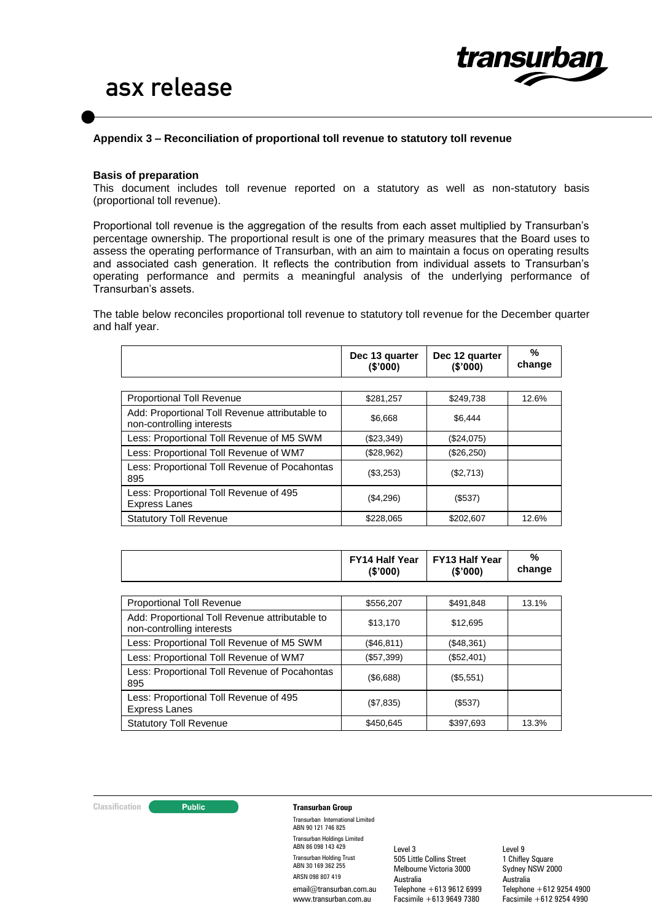

#### **Appendix 3 – Reconciliation of proportional toll revenue to statutory toll revenue**

#### **Basis of preparation**

This document includes toll revenue reported on a statutory as well as non-statutory basis (proportional toll revenue).

Proportional toll revenue is the aggregation of the results from each asset multiplied by Transurban's percentage ownership. The proportional result is one of the primary measures that the Board uses to assess the operating performance of Transurban, with an aim to maintain a focus on operating results and associated cash generation. It reflects the contribution from individual assets to Transurban's operating performance and permits a meaningful analysis of the underlying performance of Transurban's assets.

The table below reconciles proportional toll revenue to statutory toll revenue for the December quarter and half year.

|                                                                             | Dec 13 quarter<br>(\$'000) | Dec 12 quarter<br>(S'000) | %<br>change |
|-----------------------------------------------------------------------------|----------------------------|---------------------------|-------------|
|                                                                             |                            |                           |             |
| <b>Proportional Toll Revenue</b>                                            | \$281,257                  | \$249,738                 | 12.6%       |
| Add: Proportional Toll Revenue attributable to<br>non-controlling interests | \$6.668                    | \$6.444                   |             |
| Less: Proportional Toll Revenue of M5 SWM                                   | (\$23,349)                 | (\$24,075)                |             |
| Less: Proportional Toll Revenue of WM7                                      | (\$28,962)                 | (\$26,250)                |             |
| Less: Proportional Toll Revenue of Pocahontas<br>895                        | (\$3,253)                  | (\$2,713)                 |             |
| Less: Proportional Toll Revenue of 495<br><b>Express Lanes</b>              | (\$4,296)                  | (\$537)                   |             |
| <b>Statutory Toll Revenue</b>                                               | \$228,065                  | \$202,607                 | 12.6%       |

|                                                                             | <b>FY14 Half Year</b><br>(\$'000) | <b>FY13 Half Year</b><br>(\$'000) | %<br>change |
|-----------------------------------------------------------------------------|-----------------------------------|-----------------------------------|-------------|
|                                                                             |                                   |                                   |             |
| <b>Proportional Toll Revenue</b>                                            | \$556,207                         | \$491,848                         | 13.1%       |
| Add: Proportional Toll Revenue attributable to<br>non-controlling interests | \$13,170                          | \$12,695                          |             |
| Less: Proportional Toll Revenue of M5 SWM                                   | (\$46,811)                        | (\$48,361)                        |             |
| Less: Proportional Toll Revenue of WM7                                      | (\$57,399)                        | (\$52,401)                        |             |
| Less: Proportional Toll Revenue of Pocahontas<br>895                        | (\$6,688)                         | (\$5,551)                         |             |
| Less: Proportional Toll Revenue of 495<br><b>Express Lanes</b>              | (\$7,835)                         | (\$537)                           |             |
| <b>Statutory Toll Revenue</b>                                               | \$450.645                         | \$397.693                         | 13.3%       |

#### **Classification Transurban Group**

Transurban International Limited ABN 90 121 746 825 Transurban Holdings Limited ABN 86 098 143 429 Transurban Holding Trust ABN 30 169 362 255 ARSN 098 807 419 email@transurban.com.au www.transurban.com.au

Level 3 505 Little Collins Street Melbourne Victoria 3000 Australia Telephone +613 9612 6999 Facsimile +613 9649 7380